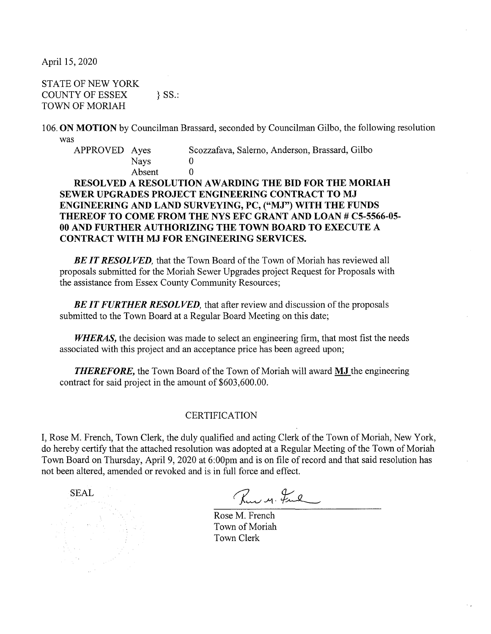April 15, 2020

STATE OF NEW YORK COUNTY OF ESSEX } SS.: TOWN OF MORIAH

106. **ON MOTION** by Councilman Brassard, seconded by Councilman Gilbo, the following resolution was

APPROVED Ayes Scozzafava, Salerno, Anderson, Brassard, Gilbo **Nays** Absent 0

## **RESOLVED A RESOLUTION A WARDING THE BID FOR THE MORIAH SEWER UPGRADES PROJECT ENGINEERING CONTRACT TO MJ ENGINEERING AND LAND SURVEYING, PC, ("MJ") WITH THE FUNDS THEREOF TO COME FROM THE NYS EFC GRANT AND LOAN# CS-5566-05- 00 AND FURTHER AUTHORIZING THE TOWN BOARD TO EXECUTE A CONTRACT WITH MJ FOR ENGINEERING SERVICES.**

**BE IT RESOLVED**, that the Town Board of the Town of Moriah has reviewed all proposals submitted for the Moriah Sewer Upgrades project Request for Proposals with the assistance from Essex County Community Resources;

**BE IT FURTHER RESOLVED**, that after review and discussion of the proposals submitted to the Town Board at a Regular Board Meeting on this date;

**WHERAS**, the decision was made to select an engineering firm, that most fist the needs associated with this project and an acceptance price has been agreed upon;

*THEREFORE,* the Town Board of the Town of Moriah will award **MJ** the engineering contract for said project in the amount of \$603,600.00.

## CERTIFICATION

I, Rose M. French, Town Clerk, the duly qualified and acting Clerk of the Town of Moriah, New York, do hereby certify that the attached resolution was adopted at a Regular Meeting of the Town of Moriah Town Board on Thursday, April 9, 2020 at 6:00pm and is on file ofrecord and that said resolution has not been altered, amended or revoked and is in full force and effect.

SEAL

Rue M. Ful

Rose M. French Town of Moriah Town Clerk